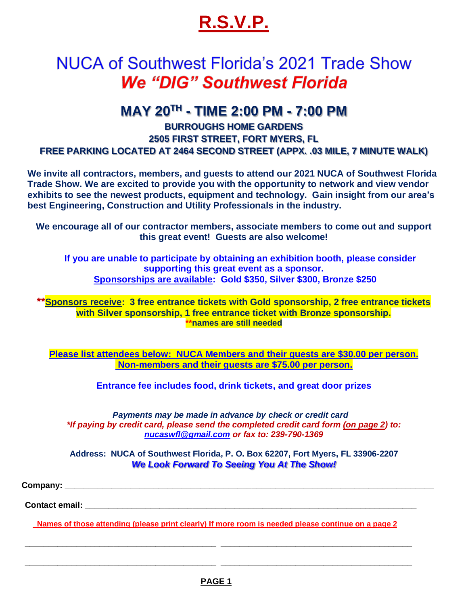# **R.S.V.P.**

## NUCA of Southwest Florida's 2021 Trade Show **We "DIG" Southwest Florida**

### **MAY 20TH - TIME 2:00 PM - 7:00 PM**

#### **BURROUGHS HOME GARDENS 2505 FIRST STREET, FORT MYERS, FL FREE PARKING LOCATED AT 2464 SECOND STREET (APPX. .03 MILE, 7 MINUTE WALK)**

**We invite all contractors, members, and guests to attend our 2021 NUCA of Southwest Florida Trade Show. We are excited to provide you with the opportunity to network and view vendor exhibits to see the newest products, equipment and technology. Gain insight from our area's best Engineering, Construction and Utility Professionals in the industry.** 

**We encourage all of our contractor members, associate members to come out and support this great event! Guests are also welcome!**

 **If you are unable to participate by obtaining an exhibition booth, please consider supporting this great event as a sponsor. Sponsorships are available: Gold \$350, Silver \$300, Bronze \$250**

**\*\*Sponsors receive: 3 free entrance tickets with Gold sponsorship, 2 free entrance tickets with Silver sponsorship, 1 free entrance ticket with Bronze sponsorship. \*\*names are still needed**

**Please list attendees below: NUCA Members and their guests are \$30.00 per person. Non-members and their guests are \$75.00 per person.**

**Entrance fee includes food, drink tickets, and great door prizes**

*Payments may be made in advance by check or credit card \*If paying by credit card, please send the completed credit card form (on page 2) to: [nucaswfl@gmail.com](mailto:nucaswfl@gmail.com) or fax to: 239-790-1369* 

**Address: NUCA of Southwest Florida, P. O. Box 62207, Fort Myers, FL 33906-2207** *We Look Forward To Seeing You At The Show!*

 **Company: \_\_\_\_\_\_\_\_\_\_\_\_\_\_\_\_\_\_\_\_\_\_\_\_\_\_\_\_\_\_\_\_\_\_\_\_\_\_\_\_\_\_\_\_\_\_\_\_\_\_\_\_\_\_\_\_\_\_\_\_\_\_\_\_\_\_\_\_\_\_\_\_\_\_\_\_\_\_\_**

 **Contact email: \_\_\_\_\_\_\_\_\_\_\_\_\_\_\_\_\_\_\_\_\_\_\_\_\_\_\_\_\_\_\_\_\_\_\_\_\_\_\_\_\_\_\_\_\_\_\_\_\_\_\_\_\_\_\_\_\_\_\_\_\_\_\_\_\_\_\_\_\_\_\_**

 **Names of those attending (please print clearly) If more room is needed please continue on a page 2**

 **\_\_\_\_\_\_\_\_\_\_\_\_\_\_\_\_\_\_\_\_\_\_\_\_\_\_\_\_\_\_\_\_\_\_\_\_\_\_\_\_\_ \_\_\_\_\_\_\_\_\_\_\_\_\_\_\_\_\_\_\_\_\_\_\_\_\_\_\_\_\_\_\_\_\_\_\_\_\_\_\_\_\_**

 **\_\_\_\_\_\_\_\_\_\_\_\_\_\_\_\_\_\_\_\_\_\_\_\_\_\_\_\_\_\_\_\_\_\_\_\_\_\_\_\_\_ \_\_\_\_\_\_\_\_\_\_\_\_\_\_\_\_\_\_\_\_\_\_\_\_\_\_\_\_\_\_\_\_\_\_\_\_\_\_\_\_\_**